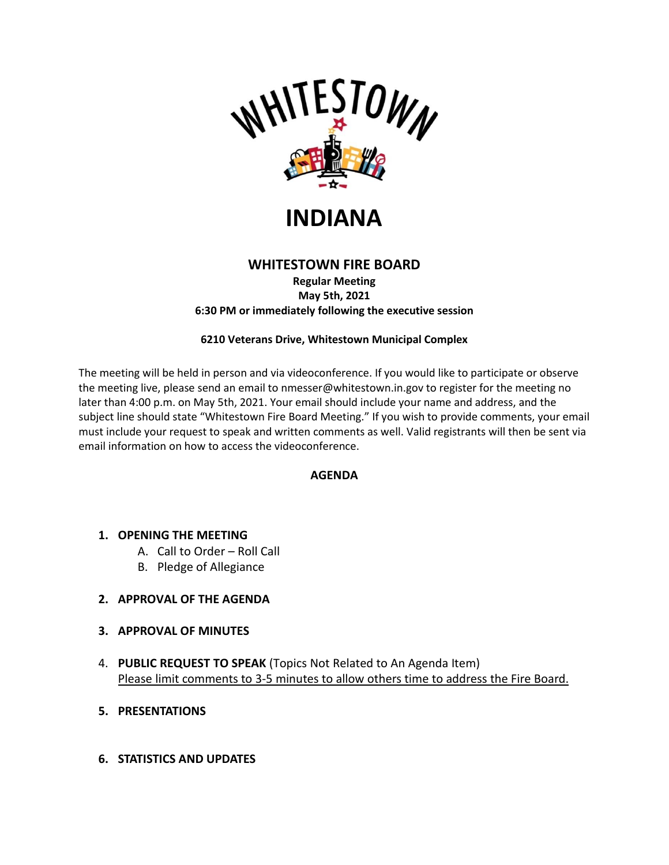

# **INDIANA**

# **WHITESTOWN FIRE BOARD**

**Regular Meeting May 5th, 2021 6:30 PM or immediately following the executive session**

#### **6210 Veterans Drive, Whitestown Municipal Complex**

The meeting will be held in person and via videoconference. If you would like to participate or observe the meeting live, please send an email to nmesser@whitestown.in.gov to register for the meeting no later than 4:00 p.m. on May 5th, 2021. Your email should include your name and address, and the subject line should state "Whitestown Fire Board Meeting." If you wish to provide comments, your email must include your request to speak and written comments as well. Valid registrants will then be sent via email information on how to access the videoconference.

#### **AGENDA**

#### **1. OPENING THE MEETING**

- A. Call to Order Roll Call
- B. Pledge of Allegiance

## **2. APPROVAL OF THE AGENDA**

- **3. APPROVAL OF MINUTES**
- 4. **PUBLIC REQUEST TO SPEAK** (Topics Not Related to An Agenda Item) Please limit comments to 3-5 minutes to allow others time to address the Fire Board.
- **5. PRESENTATIONS**

#### **6. STATISTICS AND UPDATES**